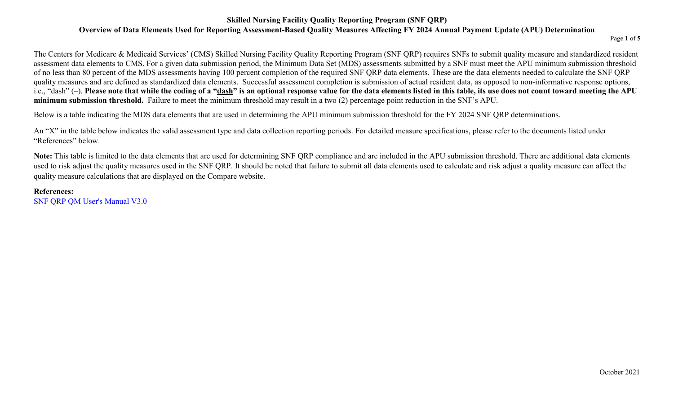#### **Skilled Nursing Facility Quality Reporting Program (SNF QRP) Overview of Data Elements Used for Reporting Assessment-Based Quality Measures Affecting FY 2024 Annual Payment Update (APU) Determination**

Page **1** of **5** 

The Centers for Medicare & Medicaid Services' (CMS) Skilled Nursing Facility Quality Reporting Program (SNF QRP) requires SNFs to submit quality measure and standardized resident assessment data elements to CMS. For a given data submission period, the Minimum Data Set (MDS) assessments submitted by a SNF must meet the APU minimum submission threshold of no less than 80 percent of the MDS assessments having 100 percent completion of the required SNF QRP data elements. These are the data elements needed to calculate the SNF QRP quality measures and are defined as standardized data elements. Successful assessment completion is submission of actual resident data, as opposed to non-informative response options, i.e., "dash" (-). Please note that while the coding of a "<u>dash</u>" is an optional response value for the data elements listed in this table, its use does not count toward meeting the APU **minimum submission threshold.** Failure to meet the minimum threshold may result in a two (2) percentage point reduction in the SNF's APU.

Below is a table indicating the MDS data elements that are used in determining the APU minimum submission threshold for the FY 2024 SNF QRP determinations.

An "X" in the table below indicates the valid assessment type and data collection reporting periods. For detailed measure specifications, please refer to the documents listed under "References" below.

**Note:** This table is limited to the data elements that are used for determining SNF QRP compliance and are included in the APU submission threshold. There are additional data elements used to risk adjust the quality measures used in the SNF QRP. It should be noted that failure to submit all data elements used to calculate and risk adjust a quality measure can affect the quality measure calculations that are displayed on the Compare website.

#### **References:**

[SNF QRP QM User's Manual V3.0](https://www.cms.gov/Medicare/Quality-Initiatives-Patient-Assessment-Instruments/NursingHomeQualityInits/Downloads/SNF-Measure-Calculations-and-Reporting-Users-Manual-V30_FINAL_508C_081419-002.pdf)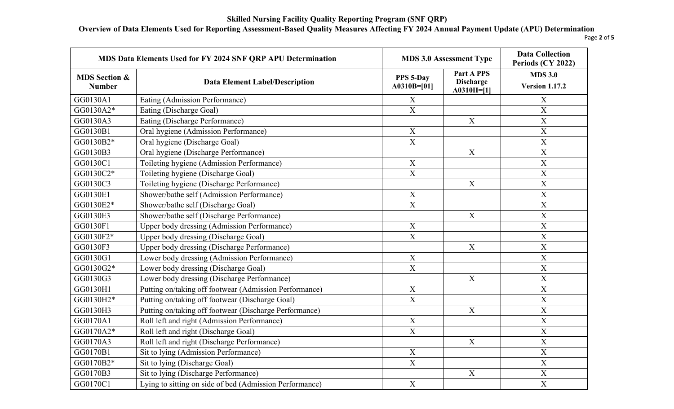# **Overview of Data Elements Used for Reporting Assessment-Based Quality Measures Affecting FY 2024 Annual Payment Update (APU) Determination**

Page **2** of **5** 

| MDS Data Elements Used for FY 2024 SNF QRP APU Determination |                                                         |                            | <b>MDS 3.0 Assessment Type</b>                        | <b>Data Collection</b><br>Periods (CY 2022) |
|--------------------------------------------------------------|---------------------------------------------------------|----------------------------|-------------------------------------------------------|---------------------------------------------|
| <b>MDS Section &amp;</b><br><b>Number</b>                    | <b>Data Element Label/Description</b>                   | PPS 5-Day<br>$A0310B=[01]$ | <b>Part A PPS</b><br><b>Discharge</b><br>$A0310H=[1]$ | <b>MDS 3.0</b><br><b>Version 1.17.2</b>     |
| GG0130A1                                                     | Eating (Admission Performance)                          | X                          |                                                       | X                                           |
| GG0130A2*                                                    | Eating (Discharge Goal)                                 | $\overline{X}$             |                                                       | X                                           |
| GG0130A3                                                     | Eating (Discharge Performance)                          |                            | $\mathbf X$                                           | $\mathbf X$                                 |
| GG0130B1                                                     | Oral hygiene (Admission Performance)                    | $\boldsymbol{\mathrm{X}}$  |                                                       | $\mathbf X$                                 |
| GG0130B2*                                                    | Oral hygiene (Discharge Goal)                           | $\overline{X}$             |                                                       | $\overline{X}$                              |
| GG0130B3                                                     | Oral hygiene (Discharge Performance)                    |                            | $\mathbf X$                                           | $\mathbf X$                                 |
| GG0130C1                                                     | Toileting hygiene (Admission Performance)               | $\mathbf X$                |                                                       | $\mathbf X$                                 |
| GG0130C2*                                                    | Toileting hygiene (Discharge Goal)                      | $\mathbf X$                |                                                       | $\mathbf X$                                 |
| GG0130C3                                                     | Toileting hygiene (Discharge Performance)               |                            | $\mathbf X$                                           | $\overline{X}$                              |
| GG0130E1                                                     | Shower/bathe self (Admission Performance)               | $\mathbf X$                |                                                       | $\overline{\mathbf{X}}$                     |
| GG0130E2*                                                    | Shower/bathe self (Discharge Goal)                      | $\overline{\text{X}}$      |                                                       | $\mathbf X$                                 |
| GG0130E3                                                     | Shower/bathe self (Discharge Performance)               |                            | $\mathbf X$                                           | $\mathbf X$                                 |
| GG0130F1                                                     | Upper body dressing (Admission Performance)             | $\mathbf X$                |                                                       | $\mathbf X$                                 |
| GG0130F2*                                                    | Upper body dressing (Discharge Goal)                    | $\mathbf X$                |                                                       | $\boldsymbol{\mathrm{X}}$                   |
| GG0130F3                                                     | Upper body dressing (Discharge Performance)             |                            | $\boldsymbol{X}$                                      | $\mathbf X$                                 |
| GG0130G1                                                     | Lower body dressing (Admission Performance)             | $\mathbf X$                |                                                       | $\mathbf X$                                 |
| GG0130G2*                                                    | Lower body dressing (Discharge Goal)                    | $\mathbf X$                |                                                       | $\mathbf X$                                 |
| GG0130G3                                                     | Lower body dressing (Discharge Performance)             |                            | $\mathbf X$                                           | $\overline{X}$                              |
| GG0130H1                                                     | Putting on/taking off footwear (Admission Performance)  | $\mathbf X$                |                                                       | $\overline{X}$                              |
| GG0130H2*                                                    | Putting on/taking off footwear (Discharge Goal)         | $\overline{\text{X}}$      |                                                       | $\mathbf X$                                 |
| GG0130H3                                                     | Putting on/taking off footwear (Discharge Performance)  |                            | $\mathbf X$                                           | $\mathbf X$                                 |
| GG0170A1                                                     | Roll left and right (Admission Performance)             | $\mathbf X$                |                                                       | $\mathbf X$                                 |
| GG0170A2*                                                    | Roll left and right (Discharge Goal)                    | $\overline{X}$             |                                                       | $\overline{X}$                              |
| GG0170A3                                                     | Roll left and right (Discharge Performance)             |                            | $\mathbf X$                                           | $\mathbf X$                                 |
| GG0170B1                                                     | Sit to lying (Admission Performance)                    | $\mathbf X$                |                                                       | $\mathbf X$                                 |
| GG0170B2*                                                    | Sit to lying (Discharge Goal)                           | $\overline{X}$             |                                                       | $\overline{X}$                              |
| GG0170B3                                                     | Sit to lying (Discharge Performance)                    |                            | $\mathbf X$                                           | $\mathbf X$                                 |
| GG0170C1                                                     | Lying to sitting on side of bed (Admission Performance) | $\mathbf X$                |                                                       | $\mathbf X$                                 |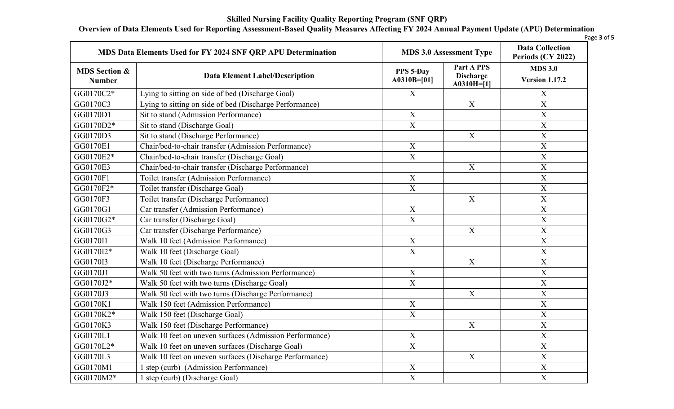# **Overview of Data Elements Used for Reporting Assessment-Based Quality Measures Affecting FY 2024 Annual Payment Update (APU) Determination**

| MDS Data Elements Used for FY 2024 SNF QRP APU Determination |                                                         |                            | <b>MDS 3.0 Assessment Type</b>                 |                                         |
|--------------------------------------------------------------|---------------------------------------------------------|----------------------------|------------------------------------------------|-----------------------------------------|
| <b>MDS Section &amp;</b><br><b>Number</b>                    | <b>Data Element Label/Description</b>                   | PPS 5-Day<br>$A0310B=[01]$ | Part A PPS<br><b>Discharge</b><br>$A0310H=[1]$ | <b>MDS 3.0</b><br><b>Version 1.17.2</b> |
| GG0170C2*                                                    | Lying to sitting on side of bed (Discharge Goal)        | X                          |                                                | X                                       |
| GG0170C3                                                     | Lying to sitting on side of bed (Discharge Performance) |                            | X                                              | $\boldsymbol{X}$                        |
| GG0170D1                                                     | Sit to stand (Admission Performance)                    | X                          |                                                | $\mathbf X$                             |
| GG0170D2*                                                    | Sit to stand (Discharge Goal)                           | $\mathbf X$                |                                                | $\mathbf X$                             |
| GG0170D3                                                     | Sit to stand (Discharge Performance)                    |                            | X                                              | X                                       |
| GG0170E1                                                     | Chair/bed-to-chair transfer (Admission Performance)     | $\mathbf X$                |                                                | $\mathbf X$                             |
| GG0170E2*                                                    | Chair/bed-to-chair transfer (Discharge Goal)            | $\overline{X}$             |                                                | $\boldsymbol{\mathrm{X}}$               |
| GG0170E3                                                     | Chair/bed-to-chair transfer (Discharge Performance)     |                            | X                                              | $\boldsymbol{\mathrm{X}}$               |
| GG0170F1                                                     | Toilet transfer (Admission Performance)                 | $\mathbf X$                |                                                | $\boldsymbol{\mathrm{X}}$               |
| GG0170F2*                                                    | Toilet transfer (Discharge Goal)                        | $\overline{X}$             |                                                | $\boldsymbol{\mathrm{X}}$               |
| GG0170F3                                                     | Toilet transfer (Discharge Performance)                 |                            | X                                              | $\boldsymbol{\mathrm{X}}$               |
| GG0170G1                                                     | Car transfer (Admission Performance)                    | X                          |                                                | $\overline{X}$                          |
| GG0170G2*                                                    | Car transfer (Discharge Goal)                           | $\mathbf X$                |                                                | $\boldsymbol{X}$                        |
| GG0170G3                                                     | Car transfer (Discharge Performance)                    |                            | $\boldsymbol{X}$                               | $\overline{\mathbf{X}}$                 |
| GG0170I1                                                     | Walk 10 feet (Admission Performance)                    | X                          |                                                | $\overline{X}$                          |
| GG0170I2*                                                    | Walk 10 feet (Discharge Goal)                           | $\mathbf X$                |                                                | $\mathbf X$                             |
| GG0170I3                                                     | Walk 10 feet (Discharge Performance)                    |                            | $\mathbf X$                                    | $\boldsymbol{\mathrm{X}}$               |
| GG0170J1                                                     | Walk 50 feet with two turns (Admission Performance)     | $\mathbf X$                |                                                | $\mathbf X$                             |
| GG0170J2*                                                    | Walk 50 feet with two turns (Discharge Goal)            | $\overline{X}$             |                                                | $\overline{\mathbf{X}}$                 |
| GG0170J3                                                     | Walk 50 feet with two turns (Discharge Performance)     |                            | $\mathbf X$                                    | $\mathbf X$                             |
| GG0170K1                                                     | Walk 150 feet (Admission Performance)                   | $\mathbf X$                |                                                | $\boldsymbol{\mathrm{X}}$               |
| GG0170K2*                                                    | Walk 150 feet (Discharge Goal)                          | $\overline{X}$             |                                                | $\mathbf X$                             |
| GG0170K3                                                     | Walk 150 feet (Discharge Performance)                   |                            | $\boldsymbol{X}$                               | $\boldsymbol{X}$                        |
| GG0170L1                                                     | Walk 10 feet on uneven surfaces (Admission Performance) | $\mathbf X$                |                                                | $\overline{X}$                          |
| GG0170L2*                                                    | Walk 10 feet on uneven surfaces (Discharge Goal)        | $\mathbf X$                |                                                | $\overline{X}$                          |
| GG0170L3                                                     | Walk 10 feet on uneven surfaces (Discharge Performance) |                            | X                                              | $\boldsymbol{\mathrm{X}}$               |
| GG0170M1                                                     | 1 step (curb) (Admission Performance)                   | $\mathbf X$                |                                                | $\overline{X}$                          |
| GG0170M2*                                                    | 1 step (curb) (Discharge Goal)                          | $\overline{X}$             |                                                | $\overline{X}$                          |

Page **3** of **5**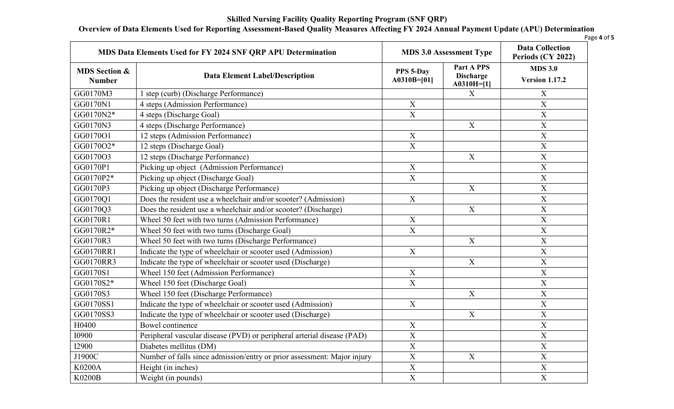# **Overview of Data Elements Used for Reporting Assessment-Based Quality Measures Affecting FY 2024 Annual Payment Update (APU) Determination**

| MDS Data Elements Used for FY 2024 SNF QRP APU Determination |                                                                         | <b>MDS 3.0 Assessment Type</b> |                                                | <b>Data Collection</b><br>Periods (CY 2022) |
|--------------------------------------------------------------|-------------------------------------------------------------------------|--------------------------------|------------------------------------------------|---------------------------------------------|
| <b>MDS Section &amp;</b><br><b>Number</b>                    | <b>Data Element Label/Description</b>                                   | PPS 5-Day<br>$A0310B=[01]$     | Part A PPS<br><b>Discharge</b><br>$A0310H=[1]$ | <b>MDS 3.0</b><br><b>Version 1.17.2</b>     |
| GG0170M3                                                     | 1 step (curb) (Discharge Performance)                                   |                                | X                                              | $\mathbf X$                                 |
| GG0170N1                                                     | 4 steps (Admission Performance)                                         | $\mathbf X$                    |                                                | $\overline{X}$                              |
| GG0170N2*                                                    | 4 steps (Discharge Goal)                                                | $\overline{\mathbf{X}}$        |                                                | $\overline{X}$                              |
| GG0170N3                                                     | 4 steps (Discharge Performance)                                         |                                | $\mathbf X$                                    | $\mathbf X$                                 |
| GG0170O1                                                     | 12 steps (Admission Performance)                                        | $\mathbf X$                    |                                                | $\mathbf X$                                 |
| GG0170O2*                                                    | 12 steps (Discharge Goal)                                               | $\overline{X}$                 |                                                | $\overline{X}$                              |
| GG0170O3                                                     | 12 steps (Discharge Performance)                                        |                                | $\mathbf X$                                    | X                                           |
| GG0170P1                                                     | Picking up object (Admission Performance)                               | $\overline{X}$                 |                                                | $\overline{X}$                              |
| GG0170P2*                                                    | Picking up object (Discharge Goal)                                      | $\mathbf X$                    |                                                | $\mathbf X$                                 |
| GG0170P3                                                     | Picking up object (Discharge Performance)                               |                                | $\mathbf X$                                    | $\mathbf X$                                 |
| GG0170Q1                                                     | Does the resident use a wheelchair and/or scooter? (Admission)          | $\overline{X}$                 |                                                | X                                           |
| GG0170Q3                                                     | Does the resident use a wheelchair and/or scooter? (Discharge)          |                                | X                                              | $\overline{X}$                              |
| GG0170R1                                                     | Wheel 50 feet with two turns (Admission Performance)                    | $\mathbf X$                    |                                                | $\boldsymbol{\mathrm{X}}$                   |
| GG0170R2*                                                    | Wheel 50 feet with two turns (Discharge Goal)                           | $\overline{\mathbf{X}}$        |                                                | $\overline{X}$                              |
| GG0170R3                                                     | Wheel 50 feet with two turns (Discharge Performance)                    |                                | $\boldsymbol{X}$                               | X                                           |
| GG0170RR1                                                    | Indicate the type of wheelchair or scooter used (Admission)             | $\mathbf X$                    |                                                | $\overline{X}$                              |
| GG0170RR3                                                    | Indicate the type of wheelchair or scooter used (Discharge)             |                                | $\mathbf X$                                    | $\mathbf X$                                 |
| GG0170S1                                                     | Wheel 150 feet (Admission Performance)                                  | $\mathbf X$                    |                                                | $\mathbf X$                                 |
| GG0170S2*                                                    | Wheel 150 feet (Discharge Goal)                                         | $\overline{\text{X}}$          |                                                | $\overline{X}$                              |
| GG0170S3                                                     | Wheel 150 feet (Discharge Performance)                                  |                                | $\mathbf X$                                    | X                                           |
| GG0170SS1                                                    | Indicate the type of wheelchair or scooter used (Admission)             | $\boldsymbol{\mathrm{X}}$      |                                                | $\boldsymbol{\mathrm{X}}$                   |
| GG0170SS3                                                    | Indicate the type of wheelchair or scooter used (Discharge)             |                                | $\boldsymbol{\mathrm{X}}$                      | $\mathbf X$                                 |
| H0400                                                        | Bowel continence                                                        | $\mathbf X$                    |                                                | $\overline{X}$                              |
| <b>I0900</b>                                                 | Peripheral vascular disease (PVD) or peripheral arterial disease (PAD)  | $\overline{X}$                 |                                                | X                                           |
| <b>I2900</b>                                                 | Diabetes mellitus (DM)                                                  | $\mathbf X$                    |                                                | $\overline{X}$                              |
| J1900C                                                       | Number of falls since admission/entry or prior assessment: Major injury | $\mathbf X$                    | $\mathbf X$                                    | $\boldsymbol{\mathrm{X}}$                   |
| K0200A                                                       | Height (in inches)                                                      | $\overline{X}$                 |                                                | $\overline{X}$                              |
| K0200B                                                       | Weight (in pounds)                                                      | $\overline{X}$                 |                                                | X                                           |

Page **4** of **5**